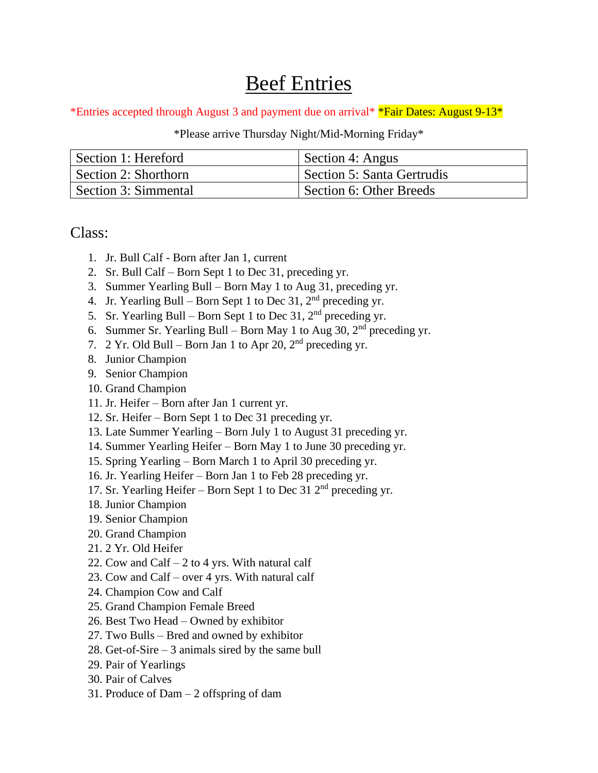## Beef Entries

\*Entries accepted through August 3 and payment due on arrival\* \*Fair Dates: August 9-13\*

\*Please arrive Thursday Night/Mid-Morning Friday\*

| Section 1: Hereford  | Section 4: Angus           |
|----------------------|----------------------------|
| Section 2: Shorthorn | Section 5: Santa Gertrudis |
| Section 3: Simmental | Section 6: Other Breeds    |

Class:

- 1. Jr. Bull Calf Born after Jan 1, current
- 2. Sr. Bull Calf Born Sept 1 to Dec 31, preceding yr.
- 3. Summer Yearling Bull Born May 1 to Aug 31, preceding yr.
- 4. Jr. Yearling Bull Born Sept 1 to Dec 31,  $2<sup>nd</sup>$  preceding yr.
- 5. Sr. Yearling Bull Born Sept 1 to Dec 31,  $2<sup>nd</sup>$  preceding yr.
- 6. Summer Sr. Yearling Bull Born May 1 to Aug 30,  $2<sup>nd</sup>$  preceding yr.
- 7. 2 Yr. Old Bull Born Jan 1 to Apr 20,  $2<sup>nd</sup>$  preceding yr.
- 8. Junior Champion
- 9. Senior Champion
- 10. Grand Champion
- 11. Jr. Heifer Born after Jan 1 current yr.
- 12. Sr. Heifer Born Sept 1 to Dec 31 preceding yr.
- 13. Late Summer Yearling Born July 1 to August 31 preceding yr.
- 14. Summer Yearling Heifer Born May 1 to June 30 preceding yr.
- 15. Spring Yearling Born March 1 to April 30 preceding yr.
- 16. Jr. Yearling Heifer Born Jan 1 to Feb 28 preceding yr.
- 17. Sr. Yearling Heifer Born Sept 1 to Dec 31  $2<sup>nd</sup>$  preceding yr.
- 18. Junior Champion
- 19. Senior Champion
- 20. Grand Champion
- 21. 2 Yr. Old Heifer
- 22. Cow and Calf  $-2$  to 4 yrs. With natural calf
- 23. Cow and Calf over 4 yrs. With natural calf
- 24. Champion Cow and Calf
- 25. Grand Champion Female Breed
- 26. Best Two Head Owned by exhibitor
- 27. Two Bulls Bred and owned by exhibitor
- 28. Get-of-Sire 3 animals sired by the same bull
- 29. Pair of Yearlings
- 30. Pair of Calves
- 31. Produce of Dam 2 offspring of dam